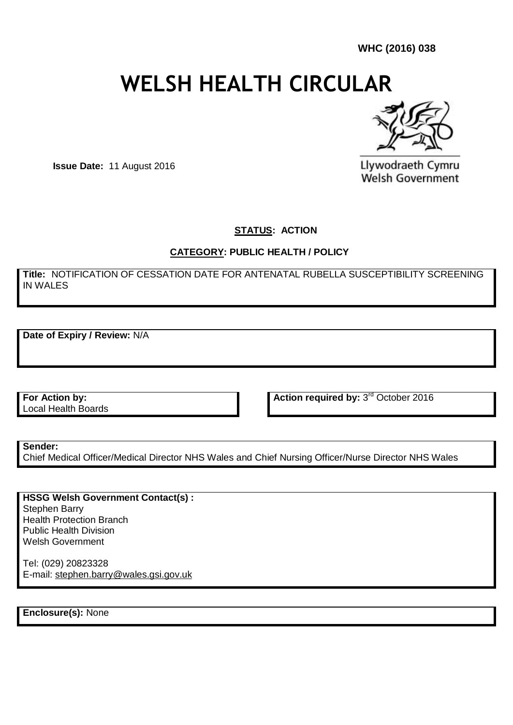**WHC (2016) 038**

# **WELSH HEALTH CIRCULAR**



**Issue Date:** 11 August 2016

Llywodraeth Cymru **Welsh Government** 

**STATUS: ACTION** 

#### **CATEGORY: PUBLIC HEALTH / POLICY**

**Title:** NOTIFICATION OF CESSATION DATE FOR ANTENATAL RUBELLA SUSCEPTIBILITY SCREENING IN WALES

**Date of Expiry / Review:** N/A

**For Action by:** Local Health Boards Action required by: 3<sup>rd</sup> October 2016

**Sender:** 

Chief Medical Officer/Medical Director NHS Wales and Chief Nursing Officer/Nurse Director NHS Wales

**HSSG Welsh Government Contact(s) :** Stephen Barry Health Protection Branch Public Health Division Welsh Government

Tel: (029) 20823328 E-mail: [stephen.barry@wales.gsi.gov.uk](mailto:stephen.barry@wales.gsi.gov.uk)

**Enclosure(s):** None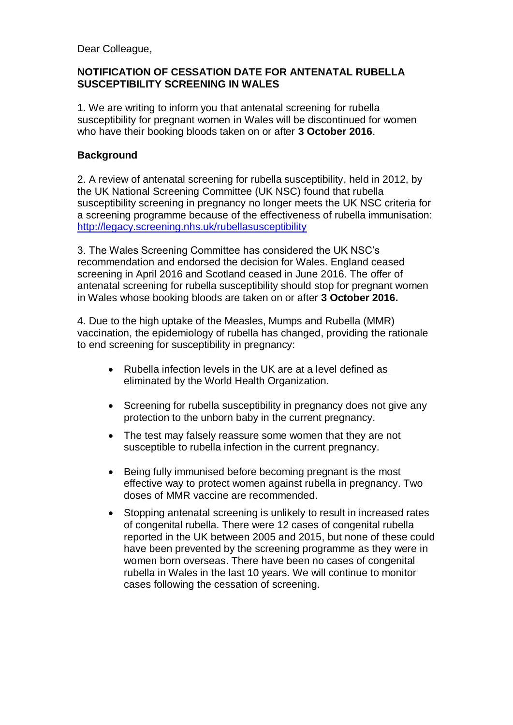Dear Colleague,

# **NOTIFICATION OF CESSATION DATE FOR ANTENATAL RUBELLA SUSCEPTIBILITY SCREENING IN WALES**

1. We are writing to inform you that antenatal screening for rubella susceptibility for pregnant women in Wales will be discontinued for women who have their booking bloods taken on or after **3 October 2016**.

# **Background**

2. A review of antenatal screening for rubella susceptibility, held in 2012, by the UK National Screening Committee (UK NSC) found that rubella susceptibility screening in pregnancy no longer meets the UK NSC criteria for a screening programme because of the effectiveness of rubella immunisation: <http://legacy.screening.nhs.uk/rubellasusceptibility>

3. The Wales Screening Committee has considered the UK NSC's recommendation and endorsed the decision for Wales. England ceased screening in April 2016 and Scotland ceased in June 2016. The offer of antenatal screening for rubella susceptibility should stop for pregnant women in Wales whose booking bloods are taken on or after **3 October 2016.**

4. Due to the high uptake of the Measles, Mumps and Rubella (MMR) vaccination, the epidemiology of rubella has changed, providing the rationale to end screening for susceptibility in pregnancy:

- Rubella infection levels in the UK are at a level defined as eliminated by the World Health Organization.
- Screening for rubella susceptibility in pregnancy does not give any protection to the unborn baby in the current pregnancy.
- The test may falsely reassure some women that they are not susceptible to rubella infection in the current pregnancy.
- Being fully immunised before becoming pregnant is the most effective way to protect women against rubella in pregnancy. Two doses of MMR vaccine are recommended.
- Stopping antenatal screening is unlikely to result in increased rates of congenital rubella. There were 12 cases of congenital rubella reported in the UK between 2005 and 2015, but none of these could have been prevented by the screening programme as they were in women born overseas. There have been no cases of congenital rubella in Wales in the last 10 years. We will continue to monitor cases following the cessation of screening.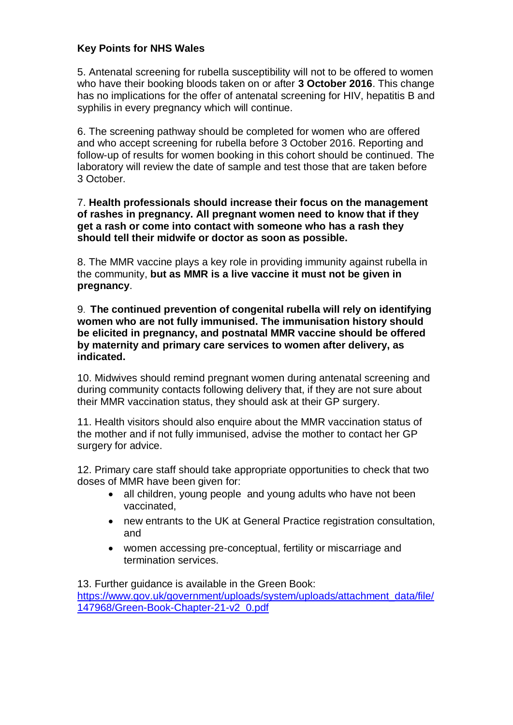# **Key Points for NHS Wales**

5. Antenatal screening for rubella susceptibility will not to be offered to women who have their booking bloods taken on or after **3 October 2016**. This change has no implications for the offer of antenatal screening for HIV, hepatitis B and syphilis in every pregnancy which will continue.

6. The screening pathway should be completed for women who are offered and who accept screening for rubella before 3 October 2016. Reporting and follow-up of results for women booking in this cohort should be continued. The laboratory will review the date of sample and test those that are taken before 3 October.

#### 7. **Health professionals should increase their focus on the management of rashes in pregnancy. All pregnant women need to know that if they get a rash or come into contact with someone who has a rash they should tell their midwife or doctor as soon as possible.**

8. The MMR vaccine plays a key role in providing immunity against rubella in the community, **but as MMR is a live vaccine it must not be given in pregnancy**.

9. **The continued prevention of congenital rubella will rely on identifying women who are not fully immunised. The immunisation history should be elicited in pregnancy, and postnatal MMR vaccine should be offered by maternity and primary care services to women after delivery, as indicated.** 

10. Midwives should remind pregnant women during antenatal screening and during community contacts following delivery that, if they are not sure about their MMR vaccination status, they should ask at their GP surgery.

11. Health visitors should also enquire about the MMR vaccination status of the mother and if not fully immunised, advise the mother to contact her GP surgery for advice.

12. Primary care staff should take appropriate opportunities to check that two doses of MMR have been given for:

- all children, young people and young adults who have not been vaccinated,
- new entrants to the UK at General Practice registration consultation, and
- women accessing pre-conceptual, fertility or miscarriage and termination services.

13. Further guidance is available in the Green Book: [https://www.gov.uk/government/uploads/system/uploads/attachment\\_data/file/](https://www.gov.uk/government/uploads/system/uploads/attachment_data/file/147968/Green-Book-Chapter-21-v2_0.pdf) [147968/Green-Book-Chapter-21-v2\\_0.pdf](https://www.gov.uk/government/uploads/system/uploads/attachment_data/file/147968/Green-Book-Chapter-21-v2_0.pdf)